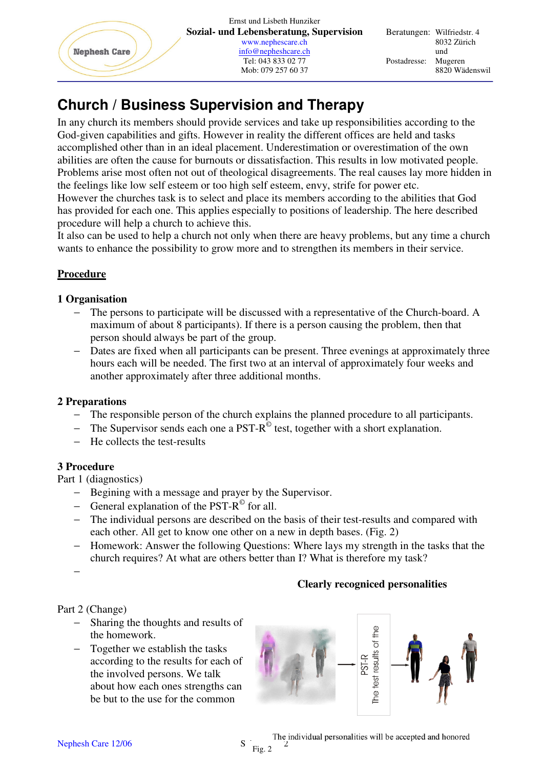

# **Church / Business Supervision and Therapy**

In any church its members should provide services and take up responsibilities according to the God-given capabilities and gifts. However in reality the different offices are held and tasks accomplished other than in an ideal placement. Underestimation or overestimation of the own abilities are often the cause for burnouts or dissatisfaction. This results in low motivated people. Problems arise most often not out of theological disagreements. The real causes lay more hidden in the feelings like low self esteem or too high self esteem, envy, strife for power etc.

However the churches task is to select and place its members according to the abilities that God has provided for each one. This applies especially to positions of leadership. The here described procedure will help a church to achieve this.

It also can be used to help a church not only when there are heavy problems, but any time a church wants to enhance the possibility to grow more and to strengthen its members in their service.

### **Procedure**

#### **1 Organisation**

- − The persons to participate will be discussed with a representative of the Church-board. A maximum of about 8 participants). If there is a person causing the problem, then that person should always be part of the group.
- − Dates are fixed when all participants can be present. Three evenings at approximately three hours each will be needed. The first two at an interval of approximately four weeks and another approximately after three additional months.

### **2 Preparations**

- The responsible person of the church explains the planned procedure to all participants.
- − The Supervisor sends each one a PST-R<sup>©</sup> test, together with a short explanation.
- − He collects the test-results

### **3 Procedure**

Part 1 (diagnostics)

- − Begining with a message and prayer by the Supervisor.
- − General explanation of the PST-R<sup>©</sup> for all.
- − The individual persons are described on the basis of their test-results and compared with each other. All get to know one other on a new in depth bases. (Fig. 2)
- − Homework: Answer the following Questions: Where lays my strength in the tasks that the church requires? At what are others better than I? What is therefore my task?
- −

## **Clearly recogniced personalities**

Part 2 (Change)

- − Sharing the thoughts and results of the homework.
- − Together we establish the tasks according to the results for each of the involved persons. We talk about how each ones strengths can be but to the use for the common



Nephesh Care 12/06  $S_{\text{Fe}}$  The individual personalities will be accepted and honored